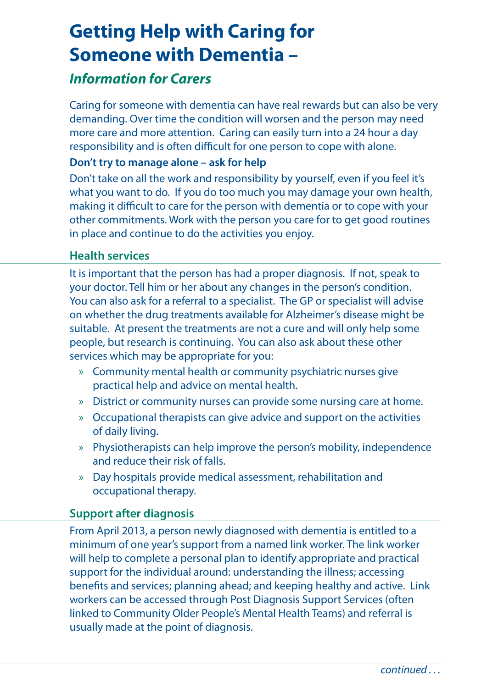# **Getting Help with Caring for Someone with Dementia –**

## *Information for Carers*

Caring for someone with dementia can have real rewards but can also be very demanding. Over time the condition will worsen and the person may need more care and more attention. Caring can easily turn into a 24 hour a day responsibility and is often difficult for one person to cope with alone.

#### **Don't try to manage alone – ask for help**

Don't take on all the work and responsibility by yourself, even if you feel it's what you want to do. If you do too much you may damage your own health, making it difficult to care for the person with dementia or to cope with your other commitments. Work with the person you care for to get good routines in place and continue to do the activities you enjoy.

#### **Health services**

It is important that the person has had a proper diagnosis. If not, speak to your doctor. Tell him or her about any changes in the person's condition. You can also ask for a referral to a specialist. The GP or specialist will advise on whether the drug treatments available for Alzheimer's disease might be suitable. At present the treatments are not a cure and will only help some people, but research is continuing. You can also ask about these other services which may be appropriate for you:

- » Community mental health or community psychiatric nurses give practical help and advice on mental health.
- » District or community nurses can provide some nursing care at home.
- » Occupational therapists can give advice and support on the activities of daily living.
- » Physiotherapists can help improve the person's mobility, independence and reduce their risk of falls.
- » Day hospitals provide medical assessment, rehabilitation and occupational therapy.

### **Support after diagnosis**

From April 2013, a person newly diagnosed with dementia is entitled to a minimum of one year's support from a named link worker. The link worker will help to complete a personal plan to identify appropriate and practical support for the individual around: understanding the illness; accessing benefits and services; planning ahead; and keeping healthy and active. Link workers can be accessed through Post Diagnosis Support Services (often linked to Community Older People's Mental Health Teams) and referral is usually made at the point of diagnosis.